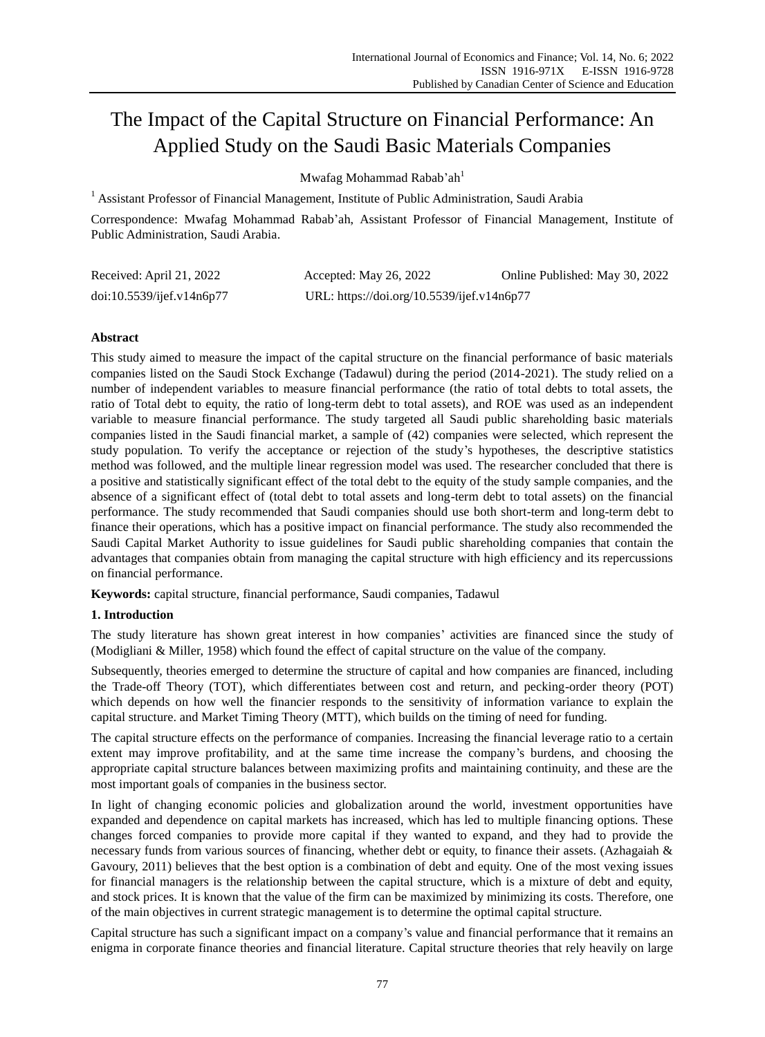# The Impact of the Capital Structure on Financial Performance: An Applied Study on the Saudi Basic Materials Companies

Mwafag Mohammad Rabab'ah<sup>1</sup>

<sup>1</sup> Assistant Professor of Financial Management, Institute of Public Administration, Saudi Arabia

Correspondence: Mwafag Mohammad Rabab'ah, Assistant Professor of Financial Management, Institute of Public Administration, Saudi Arabia.

| Received: April 21, 2022  | Accepted: May 26, 2022                     | Online Published: May 30, 2022 |
|---------------------------|--------------------------------------------|--------------------------------|
| doi:10.5539/ijef.v14n6p77 | URL: https://doi.org/10.5539/ijef.v14n6p77 |                                |

# **Abstract**

This study aimed to measure the impact of the capital structure on the financial performance of basic materials companies listed on the Saudi Stock Exchange (Tadawul) during the period (2014-2021). The study relied on a number of independent variables to measure financial performance (the ratio of total debts to total assets, the ratio of Total debt to equity, the ratio of long-term debt to total assets), and ROE was used as an independent variable to measure financial performance. The study targeted all Saudi public shareholding basic materials companies listed in the Saudi financial market, a sample of (42) companies were selected, which represent the study population. To verify the acceptance or rejection of the study's hypotheses, the descriptive statistics method was followed, and the multiple linear regression model was used. The researcher concluded that there is a positive and statistically significant effect of the total debt to the equity of the study sample companies, and the absence of a significant effect of (total debt to total assets and long-term debt to total assets) on the financial performance. The study recommended that Saudi companies should use both short-term and long-term debt to finance their operations, which has a positive impact on financial performance. The study also recommended the Saudi Capital Market Authority to issue guidelines for Saudi public shareholding companies that contain the advantages that companies obtain from managing the capital structure with high efficiency and its repercussions on financial performance.

**Keywords:** capital structure, financial performance, Saudi companies, Tadawul

# **1. Introduction**

The study literature has shown great interest in how companies' activities are financed since the study of (Modigliani & Miller, 1958) which found the effect of capital structure on the value of the company.

Subsequently, theories emerged to determine the structure of capital and how companies are financed, including the Trade-off Theory (TOT), which differentiates between cost and return, and pecking-order theory (POT) which depends on how well the financier responds to the sensitivity of information variance to explain the capital structure. and Market Timing Theory (MTT), which builds on the timing of need for funding.

The capital structure effects on the performance of companies. Increasing the financial leverage ratio to a certain extent may improve profitability, and at the same time increase the company's burdens, and choosing the appropriate capital structure balances between maximizing profits and maintaining continuity, and these are the most important goals of companies in the business sector.

In light of changing economic policies and globalization around the world, investment opportunities have expanded and dependence on capital markets has increased, which has led to multiple financing options. These changes forced companies to provide more capital if they wanted to expand, and they had to provide the necessary funds from various sources of financing, whether debt or equity, to finance their assets. (Azhagaiah & Gavoury, 2011) believes that the best option is a combination of debt and equity. One of the most vexing issues for financial managers is the relationship between the capital structure, which is a mixture of debt and equity, and stock prices. It is known that the value of the firm can be maximized by minimizing its costs. Therefore, one of the main objectives in current strategic management is to determine the optimal capital structure.

Capital structure has such a significant impact on a company's value and financial performance that it remains an enigma in corporate finance theories and financial literature. Capital structure theories that rely heavily on large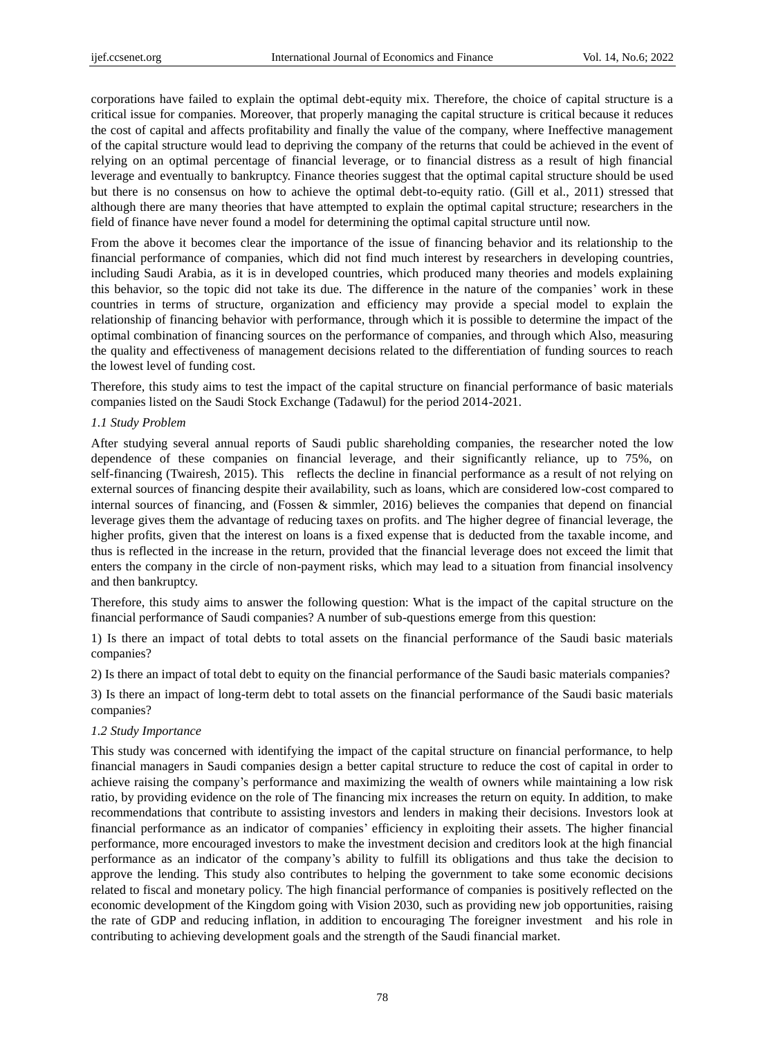corporations have failed to explain the optimal debt-equity mix. Therefore, the choice of capital structure is a critical issue for companies. Moreover, that properly managing the capital structure is critical because it reduces the cost of capital and affects profitability and finally the value of the company, where Ineffective management of the capital structure would lead to depriving the company of the returns that could be achieved in the event of relying on an optimal percentage of financial leverage, or to financial distress as a result of high financial leverage and eventually to bankruptcy. Finance theories suggest that the optimal capital structure should be used but there is no consensus on how to achieve the optimal debt-to-equity ratio. (Gill et al., 2011) stressed that although there are many theories that have attempted to explain the optimal capital structure; researchers in the field of finance have never found a model for determining the optimal capital structure until now.

From the above it becomes clear the importance of the issue of financing behavior and its relationship to the financial performance of companies, which did not find much interest by researchers in developing countries, including Saudi Arabia, as it is in developed countries, which produced many theories and models explaining this behavior, so the topic did not take its due. The difference in the nature of the companies' work in these countries in terms of structure, organization and efficiency may provide a special model to explain the relationship of financing behavior with performance, through which it is possible to determine the impact of the optimal combination of financing sources on the performance of companies, and through which Also, measuring the quality and effectiveness of management decisions related to the differentiation of funding sources to reach the lowest level of funding cost.

Therefore, this study aims to test the impact of the capital structure on financial performance of basic materials companies listed on the Saudi Stock Exchange (Tadawul) for the period 2014-2021.

## *1.1 Study Problem*

After studying several annual reports of Saudi public shareholding companies, the researcher noted the low dependence of these companies on financial leverage, and their significantly reliance, up to 75%, on self-financing (Twairesh, 2015). This reflects the decline in financial performance as a result of not relying on external sources of financing despite their availability, such as loans, which are considered low-cost compared to internal sources of financing, and (Fossen & simmler, 2016) believes the companies that depend on financial leverage gives them the advantage of reducing taxes on profits. and The higher degree of financial leverage, the higher profits, given that the interest on loans is a fixed expense that is deducted from the taxable income, and thus is reflected in the increase in the return, provided that the financial leverage does not exceed the limit that enters the company in the circle of non-payment risks, which may lead to a situation from financial insolvency and then bankruptcy.

Therefore, this study aims to answer the following question: What is the impact of the capital structure on the financial performance of Saudi companies? A number of sub-questions emerge from this question:

1) Is there an impact of total debts to total assets on the financial performance of the Saudi basic materials companies?

2) Is there an impact of total debt to equity on the financial performance of the Saudi basic materials companies?

3) Is there an impact of long-term debt to total assets on the financial performance of the Saudi basic materials companies?

#### *1.2 Study Importance*

This study was concerned with identifying the impact of the capital structure on financial performance, to help financial managers in Saudi companies design a better capital structure to reduce the cost of capital in order to achieve raising the company's performance and maximizing the wealth of owners while maintaining a low risk ratio, by providing evidence on the role of The financing mix increases the return on equity. In addition, to make recommendations that contribute to assisting investors and lenders in making their decisions. Investors look at financial performance as an indicator of companies' efficiency in exploiting their assets. The higher financial performance, more encouraged investors to make the investment decision and creditors look at the high financial performance as an indicator of the company's ability to fulfill its obligations and thus take the decision to approve the lending. This study also contributes to helping the government to take some economic decisions related to fiscal and monetary policy. The high financial performance of companies is positively reflected on the economic development of the Kingdom going with Vision 2030, such as providing new job opportunities, raising the rate of GDP and reducing inflation, in addition to encouraging The foreigner investment and his role in contributing to achieving development goals and the strength of the Saudi financial market.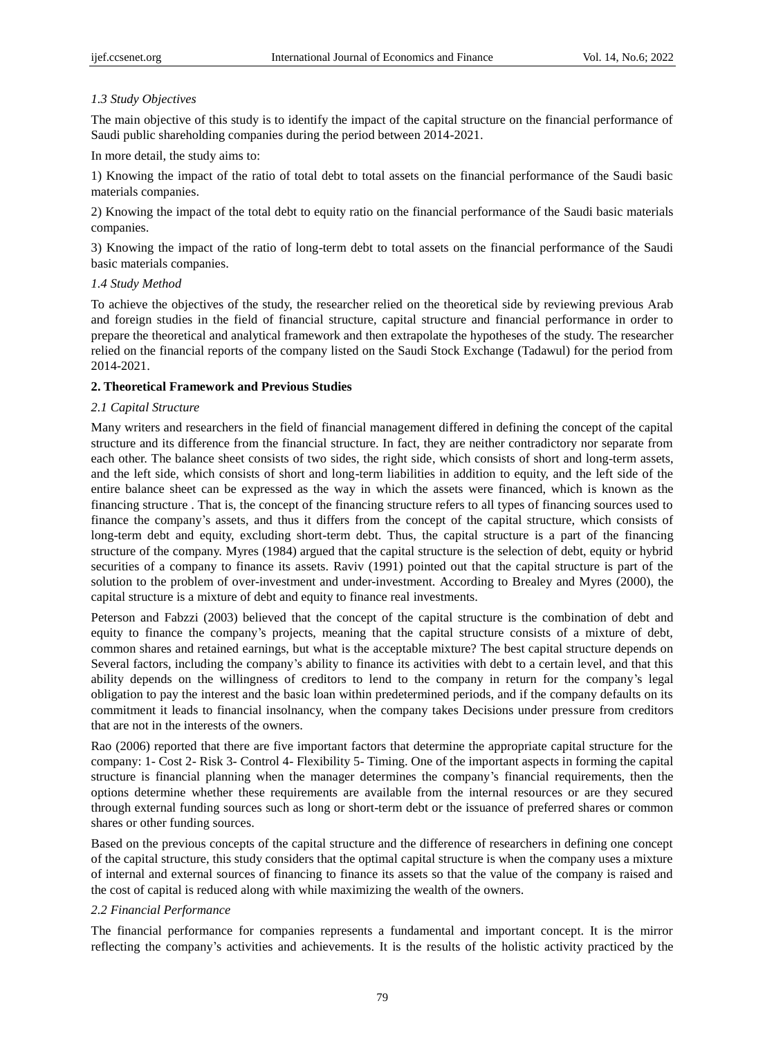# *1.3 Study Objectives*

The main objective of this study is to identify the impact of the capital structure on the financial performance of Saudi public shareholding companies during the period between 2014-2021.

In more detail, the study aims to:

1) Knowing the impact of the ratio of total debt to total assets on the financial performance of the Saudi basic materials companies.

2) Knowing the impact of the total debt to equity ratio on the financial performance of the Saudi basic materials companies.

3) Knowing the impact of the ratio of long-term debt to total assets on the financial performance of the Saudi basic materials companies.

# *1.4 Study Method*

To achieve the objectives of the study, the researcher relied on the theoretical side by reviewing previous Arab and foreign studies in the field of financial structure, capital structure and financial performance in order to prepare the theoretical and analytical framework and then extrapolate the hypotheses of the study. The researcher relied on the financial reports of the company listed on the Saudi Stock Exchange (Tadawul) for the period from 2014-2021.

# **2. Theoretical Framework and Previous Studies**

# *2.1 Capital Structure*

Many writers and researchers in the field of financial management differed in defining the concept of the capital structure and its difference from the financial structure. In fact, they are neither contradictory nor separate from each other. The balance sheet consists of two sides, the right side, which consists of short and long-term assets, and the left side, which consists of short and long-term liabilities in addition to equity, and the left side of the entire balance sheet can be expressed as the way in which the assets were financed, which is known as the financing structure . That is, the concept of the financing structure refers to all types of financing sources used to finance the company's assets, and thus it differs from the concept of the capital structure, which consists of long-term debt and equity, excluding short-term debt. Thus, the capital structure is a part of the financing structure of the company. Myres (1984) argued that the capital structure is the selection of debt, equity or hybrid securities of a company to finance its assets. Raviv (1991) pointed out that the capital structure is part of the solution to the problem of over-investment and under-investment. According to Brealey and Myres (2000), the capital structure is a mixture of debt and equity to finance real investments.

Peterson and Fabzzi (2003) believed that the concept of the capital structure is the combination of debt and equity to finance the company's projects, meaning that the capital structure consists of a mixture of debt, common shares and retained earnings, but what is the acceptable mixture? The best capital structure depends on Several factors, including the company's ability to finance its activities with debt to a certain level, and that this ability depends on the willingness of creditors to lend to the company in return for the company's legal obligation to pay the interest and the basic loan within predetermined periods, and if the company defaults on its commitment it leads to financial insolnancy, when the company takes Decisions under pressure from creditors that are not in the interests of the owners.

Rao (2006) reported that there are five important factors that determine the appropriate capital structure for the company: 1- Cost 2- Risk 3- Control 4- Flexibility 5- Timing. One of the important aspects in forming the capital structure is financial planning when the manager determines the company's financial requirements, then the options determine whether these requirements are available from the internal resources or are they secured through external funding sources such as long or short-term debt or the issuance of preferred shares or common shares or other funding sources.

Based on the previous concepts of the capital structure and the difference of researchers in defining one concept of the capital structure, this study considers that the optimal capital structure is when the company uses a mixture of internal and external sources of financing to finance its assets so that the value of the company is raised and the cost of capital is reduced along with while maximizing the wealth of the owners.

# *2.2 Financial Performance*

The financial performance for companies represents a fundamental and important concept. It is the mirror reflecting the company's activities and achievements. It is the results of the holistic activity practiced by the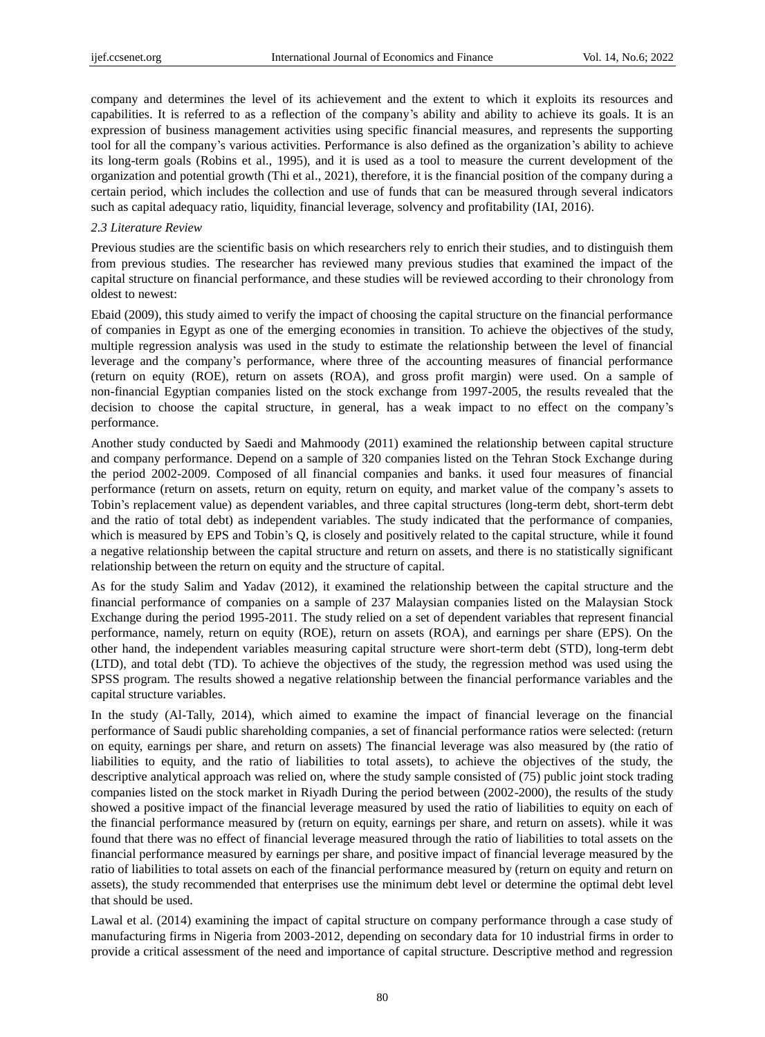company and determines the level of its achievement and the extent to which it exploits its resources and capabilities. It is referred to as a reflection of the company's ability and ability to achieve its goals. It is an expression of business management activities using specific financial measures, and represents the supporting tool for all the company's various activities. Performance is also defined as the organization's ability to achieve its long-term goals (Robins et al., 1995), and it is used as a tool to measure the current development of the organization and potential growth (Thi et al., 2021), therefore, it is the financial position of the company during a certain period, which includes the collection and use of funds that can be measured through several indicators such as capital adequacy ratio, liquidity, financial leverage, solvency and profitability (IAI, 2016).

# *2.3 Literature Review*

Previous studies are the scientific basis on which researchers rely to enrich their studies, and to distinguish them from previous studies. The researcher has reviewed many previous studies that examined the impact of the capital structure on financial performance, and these studies will be reviewed according to their chronology from oldest to newest:

Ebaid (2009), this study aimed to verify the impact of choosing the capital structure on the financial performance of companies in Egypt as one of the emerging economies in transition. To achieve the objectives of the study, multiple regression analysis was used in the study to estimate the relationship between the level of financial leverage and the company's performance, where three of the accounting measures of financial performance (return on equity (ROE), return on assets (ROA), and gross profit margin) were used. On a sample of non-financial Egyptian companies listed on the stock exchange from 1997-2005, the results revealed that the decision to choose the capital structure, in general, has a weak impact to no effect on the company's performance.

Another study conducted by Saedi and Mahmoody (2011) examined the relationship between capital structure and company performance. Depend on a sample of 320 companies listed on the Tehran Stock Exchange during the period 2002-2009. Composed of all financial companies and banks. it used four measures of financial performance (return on assets, return on equity, return on equity, and market value of the company's assets to Tobin's replacement value) as dependent variables, and three capital structures (long-term debt, short-term debt and the ratio of total debt) as independent variables. The study indicated that the performance of companies, which is measured by EPS and Tobin's Q, is closely and positively related to the capital structure, while it found a negative relationship between the capital structure and return on assets, and there is no statistically significant relationship between the return on equity and the structure of capital.

As for the study Salim and Yadav (2012), it examined the relationship between the capital structure and the financial performance of companies on a sample of 237 Malaysian companies listed on the Malaysian Stock Exchange during the period 1995-2011. The study relied on a set of dependent variables that represent financial performance, namely, return on equity (ROE), return on assets (ROA), and earnings per share (EPS). On the other hand, the independent variables measuring capital structure were short-term debt (STD), long-term debt (LTD), and total debt (TD). To achieve the objectives of the study, the regression method was used using the SPSS program. The results showed a negative relationship between the financial performance variables and the capital structure variables.

In the study (Al-Tally, 2014), which aimed to examine the impact of financial leverage on the financial performance of Saudi public shareholding companies, a set of financial performance ratios were selected: (return on equity, earnings per share, and return on assets) The financial leverage was also measured by (the ratio of liabilities to equity, and the ratio of liabilities to total assets), to achieve the objectives of the study, the descriptive analytical approach was relied on, where the study sample consisted of (75) public joint stock trading companies listed on the stock market in Riyadh During the period between (2002-2000), the results of the study showed a positive impact of the financial leverage measured by used the ratio of liabilities to equity on each of the financial performance measured by (return on equity, earnings per share, and return on assets). while it was found that there was no effect of financial leverage measured through the ratio of liabilities to total assets on the financial performance measured by earnings per share, and positive impact of financial leverage measured by the ratio of liabilities to total assets on each of the financial performance measured by (return on equity and return on assets), the study recommended that enterprises use the minimum debt level or determine the optimal debt level that should be used.

Lawal et al. (2014) examining the impact of capital structure on company performance through a case study of manufacturing firms in Nigeria from 2003-2012, depending on secondary data for 10 industrial firms in order to provide a critical assessment of the need and importance of capital structure. Descriptive method and regression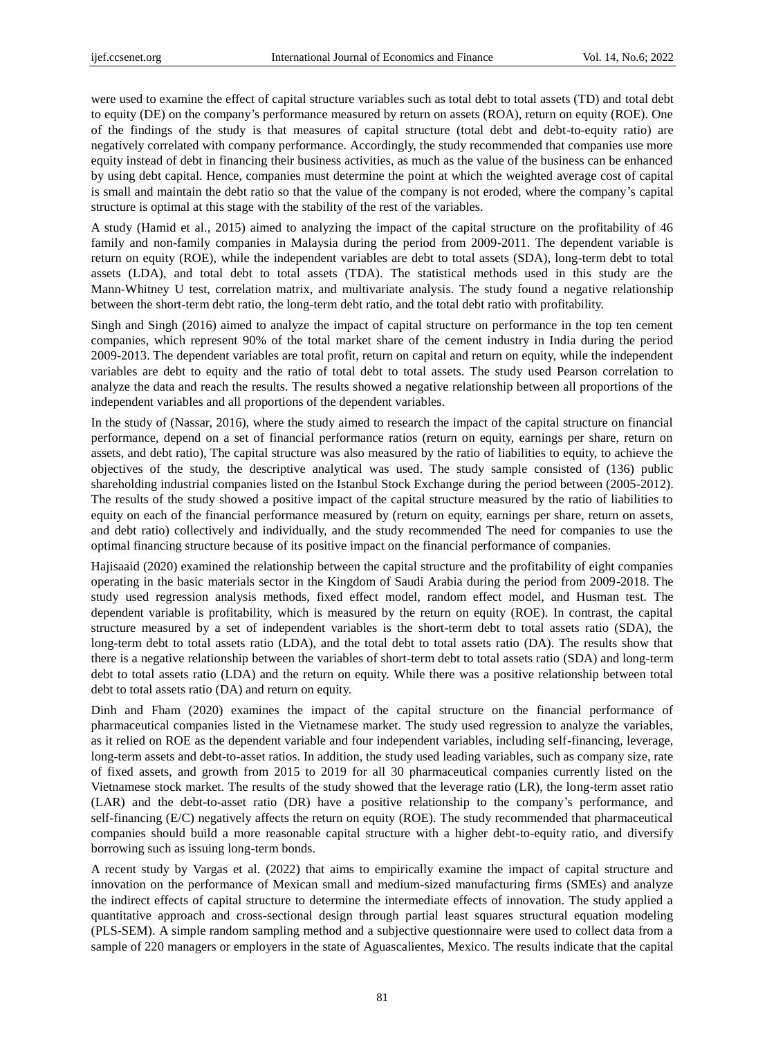were used to examine the effect of capital structure variables such as total debt to total assets (TD) and total debt to equity (DE) on the company's performance measured by return on assets (ROA), return on equity (ROE). One of the findings of the study is that measures of capital structure (total debt and debt-to-equity ratio) are negatively correlated with company performance. Accordingly, the study recommended that companies use more equity instead of debt in financing their business activities, as much as the value of the business can be enhanced by using debt capital. Hence, companies must determine the point at which the weighted average cost of capital is small and maintain the debt ratio so that the value of the company is not eroded, where the company's capital structure is optimal at this stage with the stability of the rest of the variables.

A study (Hamid et al., 2015) aimed to analyzing the impact of the capital structure on the profitability of 46 family and non-family companies in Malaysia during the period from 2009-2011. The dependent variable is return on equity (ROE), while the independent variables are debt to total assets (SDA), long-term debt to total assets (LDA), and total debt to total assets (TDA). The statistical methods used in this study are the Mann-Whitney U test, correlation matrix, and multivariate analysis. The study found a negative relationship between the short-term debt ratio, the long-term debt ratio, and the total debt ratio with profitability.

Singh and Singh (2016) aimed to analyze the impact of capital structure on performance in the top ten cement companies, which represent 90% of the total market share of the cement industry in India during the period 2009-2013. The dependent variables are total profit, return on capital and return on equity, while the independent variables are debt to equity and the ratio of total debt to total assets. The study used Pearson correlation to analyze the data and reach the results. The results showed a negative relationship between all proportions of the independent variables and all proportions of the dependent variables.

In the study of (Nassar, 2016), where the study aimed to research the impact of the capital structure on financial performance, depend on a set of financial performance ratios (return on equity, earnings per share, return on assets, and debt ratio), The capital structure was also measured by the ratio of liabilities to equity, to achieve the objectives of the study, the descriptive analytical was used. The study sample consisted of (136) public shareholding industrial companies listed on the Istanbul Stock Exchange during the period between (2005-2012). The results of the study showed a positive impact of the capital structure measured by the ratio of liabilities to equity on each of the financial performance measured by (return on equity, earnings per share, return on assets, and debt ratio) collectively and individually, and the study recommended The need for companies to use the optimal financing structure because of its positive impact on the financial performance of companies.

Hajisaaid (2020) examined the relationship between the capital structure and the profitability of eight companies operating in the basic materials sector in the Kingdom of Saudi Arabia during the period from 2009-2018. The study used regression analysis methods, fixed effect model, random effect model, and Husman test. The dependent variable is profitability, which is measured by the return on equity (ROE). In contrast, the capital structure measured by a set of independent variables is the short-term debt to total assets ratio (SDA), the long-term debt to total assets ratio (LDA), and the total debt to total assets ratio (DA). The results show that there is a negative relationship between the variables of short-term debt to total assets ratio (SDA) and long-term debt to total assets ratio (LDA) and the return on equity. While there was a positive relationship between total debt to total assets ratio (DA) and return on equity.

Dinh and Fham (2020) examines the impact of the capital structure on the financial performance of pharmaceutical companies listed in the Vietnamese market. The study used regression to analyze the variables, as it relied on ROE as the dependent variable and four independent variables, including self-financing, leverage, long-term assets and debt-to-asset ratios. In addition, the study used leading variables, such as company size, rate of fixed assets, and growth from 2015 to 2019 for all 30 pharmaceutical companies currently listed on the Vietnamese stock market. The results of the study showed that the leverage ratio (LR), the long-term asset ratio (LAR) and the debt-to-asset ratio (DR) have a positive relationship to the company's performance, and self-financing (E/C) negatively affects the return on equity (ROE). The study recommended that pharmaceutical companies should build a more reasonable capital structure with a higher debt-to-equity ratio, and diversify borrowing such as issuing long-term bonds.

A recent study by Vargas et al. (2022) that aims to empirically examine the impact of capital structure and innovation on the performance of Mexican small and medium-sized manufacturing firms (SMEs) and analyze the indirect effects of capital structure to determine the intermediate effects of innovation. The study applied a quantitative approach and cross-sectional design through partial least squares structural equation modeling (PLS-SEM). A simple random sampling method and a subjective questionnaire were used to collect data from a sample of 220 managers or employers in the state of Aguascalientes, Mexico. The results indicate that the capital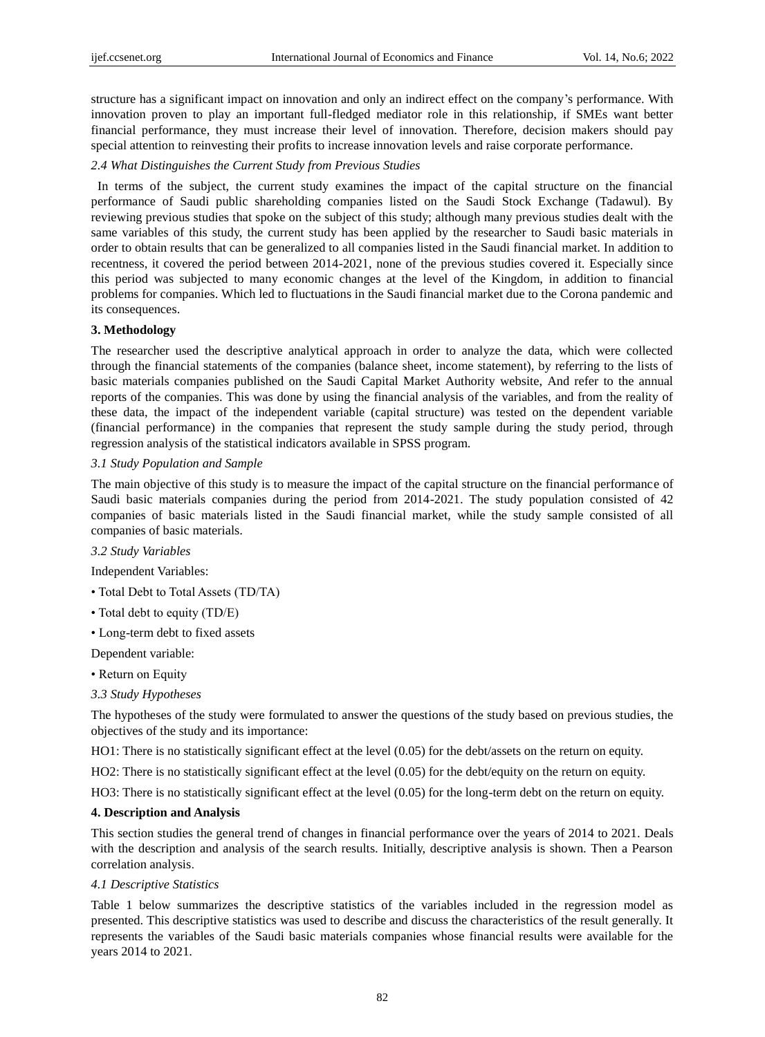structure has a significant impact on innovation and only an indirect effect on the company's performance. With innovation proven to play an important full-fledged mediator role in this relationship, if SMEs want better financial performance, they must increase their level of innovation. Therefore, decision makers should pay special attention to reinvesting their profits to increase innovation levels and raise corporate performance.

*2.4 What Distinguishes the Current Study from Previous Studies*

In terms of the subject, the current study examines the impact of the capital structure on the financial performance of Saudi public shareholding companies listed on the Saudi Stock Exchange (Tadawul). By reviewing previous studies that spoke on the subject of this study; although many previous studies dealt with the same variables of this study, the current study has been applied by the researcher to Saudi basic materials in order to obtain results that can be generalized to all companies listed in the Saudi financial market. In addition to recentness, it covered the period between 2014-2021, none of the previous studies covered it. Especially since this period was subjected to many economic changes at the level of the Kingdom, in addition to financial problems for companies. Which led to fluctuations in the Saudi financial market due to the Corona pandemic and its consequences.

## **3. Methodology**

The researcher used the descriptive analytical approach in order to analyze the data, which were collected through the financial statements of the companies (balance sheet, income statement), by referring to the lists of basic materials companies published on the Saudi Capital Market Authority website, And refer to the annual reports of the companies. This was done by using the financial analysis of the variables, and from the reality of these data, the impact of the independent variable (capital structure) was tested on the dependent variable (financial performance) in the companies that represent the study sample during the study period, through regression analysis of the statistical indicators available in SPSS program.

## *3.1 Study Population and Sample*

The main objective of this study is to measure the impact of the capital structure on the financial performance of Saudi basic materials companies during the period from 2014-2021. The study population consisted of 42 companies of basic materials listed in the Saudi financial market, while the study sample consisted of all companies of basic materials.

*3.2 Study Variables*

Independent Variables:

- Total Debt to Total Assets (TD/TA)
- Total debt to equity (TD/E)
- Long-term debt to fixed assets

Dependent variable:

• Return on Equity

#### *3.3 Study Hypotheses*

The hypotheses of the study were formulated to answer the questions of the study based on previous studies, the objectives of the study and its importance:

HO1: There is no statistically significant effect at the level (0.05) for the debt/assets on the return on equity.

HO2: There is no statistically significant effect at the level (0.05) for the debt/equity on the return on equity.

HO3: There is no statistically significant effect at the level (0.05) for the long-term debt on the return on equity.

#### **4. Description and Analysis**

This section studies the general trend of changes in financial performance over the years of 2014 to 2021. Deals with the description and analysis of the search results. Initially, descriptive analysis is shown. Then a Pearson correlation analysis.

#### *4.1 Descriptive Statistics*

Table 1 below summarizes the descriptive statistics of the variables included in the regression model as presented. This descriptive statistics was used to describe and discuss the characteristics of the result generally. It represents the variables of the Saudi basic materials companies whose financial results were available for the years 2014 to 2021.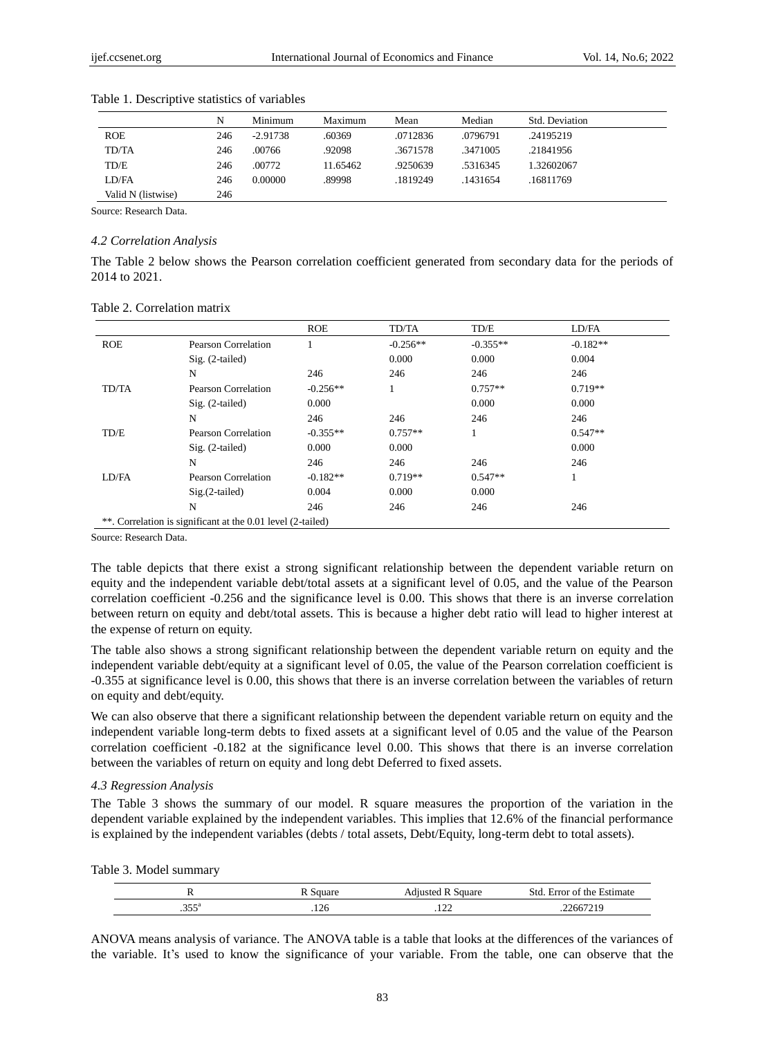|                    | N   | Minimum    | Maximum  | Mean     | Median   | Std. Deviation |
|--------------------|-----|------------|----------|----------|----------|----------------|
| <b>ROE</b>         | 246 | $-2.91738$ | .60369   | .0712836 | .0796791 | .24195219      |
| TD/TA              | 246 | .00766     | .92098   | .3671578 | .3471005 | .21841956      |
| TD/E               | 246 | .00772     | 11.65462 | .9250639 | .5316345 | 1.32602067     |
| LD/FA              | 246 | 0.00000    | .89998   | .1819249 | .1431654 | .16811769      |
| Valid N (listwise) | 246 |            |          |          |          |                |

Table 1. Descriptive statistics of variables

Source: Research Data.

#### *4.2 Correlation Analysis*

The Table 2 below shows the Pearson correlation coefficient generated from secondary data for the periods of 2014 to 2021.

| Table 2. Correlation matrix |
|-----------------------------|
|                             |

|            |                                                             | <b>ROE</b> | TD/TA      | TD/E       | LD/FA      |
|------------|-------------------------------------------------------------|------------|------------|------------|------------|
| <b>ROE</b> | Pearson Correlation                                         |            | $-0.256**$ | $-0.355**$ | $-0.182**$ |
|            | $Sig. (2-tailed)$                                           |            | 0.000      | 0.000      | 0.004      |
|            | N                                                           | 246        | 246        | 246        | 246        |
| TD/TA      | Pearson Correlation                                         | $-0.256**$ |            | $0.757**$  | $0.719**$  |
|            | $Sig. (2-tailed)$                                           | 0.000      |            | 0.000      | 0.000      |
|            | N                                                           | 246        | 246        | 246        | 246        |
| TD/E       | Pearson Correlation                                         | $-0.355**$ | $0.757**$  |            | $0.547**$  |
|            | $Sig. (2-tailed)$                                           | 0.000      | 0.000      |            | 0.000      |
|            | N                                                           | 246        | 246        | 246        | 246        |
| LD/FA      | Pearson Correlation                                         | $-0.182**$ | $0.719**$  | $0.547**$  | 1          |
|            | $Sig.(2-tailed)$                                            | 0.004      | 0.000      | 0.000      |            |
|            | N                                                           | 246        | 246        | 246        | 246        |
|            | **. Correlation is significant at the 0.01 level (2-tailed) |            |            |            |            |

Source: Research Data.

The table depicts that there exist a strong significant relationship between the dependent variable return on equity and the independent variable debt/total assets at a significant level of 0.05, and the value of the Pearson correlation coefficient -0.256 and the significance level is 0.00. This shows that there is an inverse correlation between return on equity and debt/total assets. This is because a higher debt ratio will lead to higher interest at the expense of return on equity.

The table also shows a strong significant relationship between the dependent variable return on equity and the independent variable debt/equity at a significant level of 0.05, the value of the Pearson correlation coefficient is -0.355 at significance level is 0.00, this shows that there is an inverse correlation between the variables of return on equity and debt/equity.

We can also observe that there a significant relationship between the dependent variable return on equity and the independent variable long-term debts to fixed assets at a significant level of 0.05 and the value of the Pearson correlation coefficient -0.182 at the significance level 0.00. This shows that there is an inverse correlation between the variables of return on equity and long debt Deferred to fixed assets.

#### *4.3 Regression Analysis*

The Table 3 shows the summary of our model. R square measures the proportion of the variation in the dependent variable explained by the independent variables. This implies that 12.6% of the financial performance is explained by the independent variables (debts / total assets, Debt/Equity, long-term debt to total assets).

|  |  |  | Table 3. Model summary |
|--|--|--|------------------------|
|--|--|--|------------------------|

|           |      | quare<br>1110400 | Std<br>Estimate<br>Frror of the |
|-----------|------|------------------|---------------------------------|
| r e a<br> | .126 | $\sim$<br>.      | 2667.                           |

ANOVA means analysis of variance. The ANOVA table is a table that looks at the differences of the variances of the variable. It's used to know the significance of your variable. From the table, one can observe that the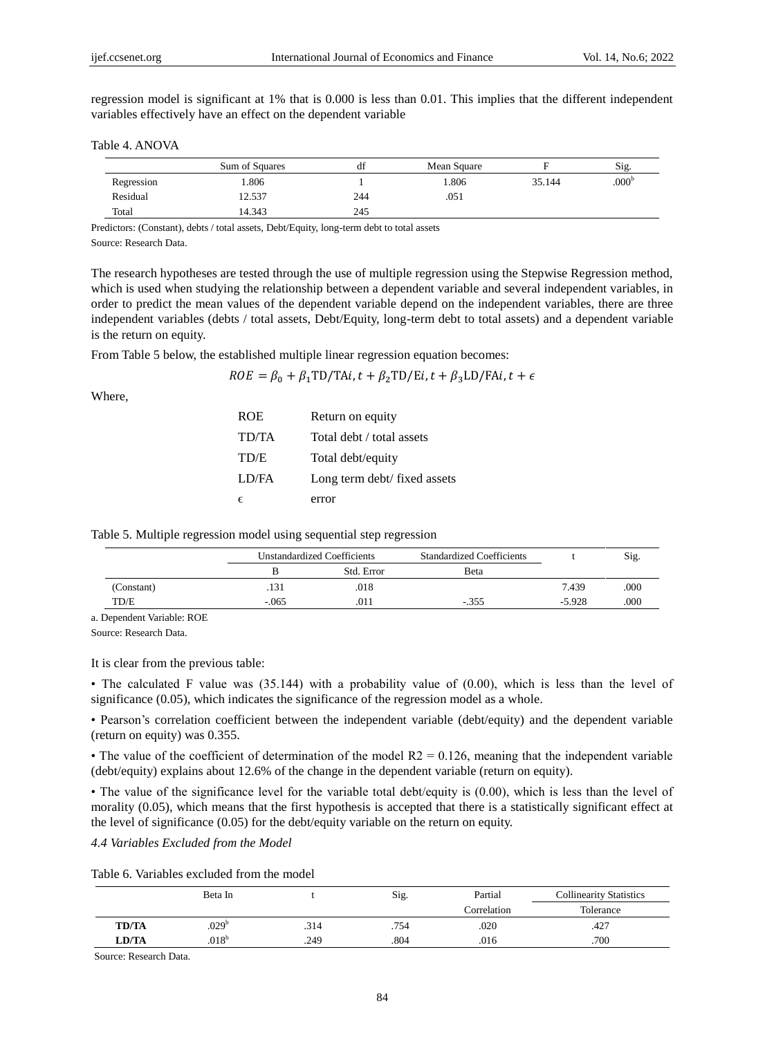regression model is significant at 1% that is 0.000 is less than 0.01. This implies that the different independent variables effectively have an effect on the dependent variable

## Table 4. ANOVA

|            | Sum of Squares | αı  | Mean Square |        | Sig.              |
|------------|----------------|-----|-------------|--------|-------------------|
| Regression | . 806          |     | . 806       | 35.144 | .000 <sup>b</sup> |
| Residual   | 2.537          | 244 | .051        |        |                   |
| Total      | 4.343          | 245 |             |        |                   |

Predictors: (Constant), debts / total assets, Debt/Equity, long-term debt to total assets Source: Research Data.

The research hypotheses are tested through the use of multiple regression using the Stepwise Regression method, which is used when studying the relationship between a dependent variable and several independent variables, in order to predict the mean values of the dependent variable depend on the independent variables, there are three independent variables (debts / total assets, Debt/Equity, long-term debt to total assets) and a dependent variable is the return on equity.

From Table 5 below, the established multiple linear regression equation becomes:

$$
ROE = \beta_0 + \beta_1 TD/TAi, t + \beta_2 TD/Ei, t + \beta_3 LD/FAi, t + \epsilon
$$

Where,

| <b>ROE</b>   | Return on equity             |
|--------------|------------------------------|
| <b>TD/TA</b> | Total debt / total assets    |
| TD/E         | Total debt/equity            |
| LD/FA        | Long term debt/ fixed assets |
| $\epsilon$   | error                        |

|  | Table 5. Multiple regression model using sequential step regression |  |  |  |
|--|---------------------------------------------------------------------|--|--|--|
|  |                                                                     |  |  |  |

|            |         | <b>Unstandardized Coefficients</b> | <b>Standardized Coefficients</b> |          | Sig. |
|------------|---------|------------------------------------|----------------------------------|----------|------|
|            |         | Std. Error                         | Beta                             |          |      |
| (Constant) | .131    | .018                               |                                  | 7.439    | .000 |
| TD/E       | $-.065$ | .011                               | $-355$                           | $-5.928$ | .000 |

a. Dependent Variable: ROE

Source: Research Data.

It is clear from the previous table:

• The calculated F value was (35.144) with a probability value of (0.00), which is less than the level of significance (0.05), which indicates the significance of the regression model as a whole.

• Pearson's correlation coefficient between the independent variable (debt/equity) and the dependent variable (return on equity) was 0.355.

• The value of the coefficient of determination of the model  $R2 = 0.126$ , meaning that the independent variable (debt/equity) explains about 12.6% of the change in the dependent variable (return on equity).

• The value of the significance level for the variable total debt/equity is (0.00), which is less than the level of morality (0.05), which means that the first hypothesis is accepted that there is a statistically significant effect at the level of significance (0.05) for the debt/equity variable on the return on equity.

*4.4 Variables Excluded from the Model* 

|  |  |  |  |  | Table 6. Variables excluded from the model |
|--|--|--|--|--|--------------------------------------------|
|--|--|--|--|--|--------------------------------------------|

|              | Beta In           |      | Sig. | Partial     | <b>Collinearity Statistics</b> |
|--------------|-------------------|------|------|-------------|--------------------------------|
|              |                   |      |      | Correlation | Tolerance                      |
| <b>TD/TA</b> | .029 <sup>b</sup> | .314 | .754 | .020        | .427                           |
| <b>LD/TA</b> | .018 <sup>b</sup> | .249 | .804 | .016        | .700                           |

Source: Research Data.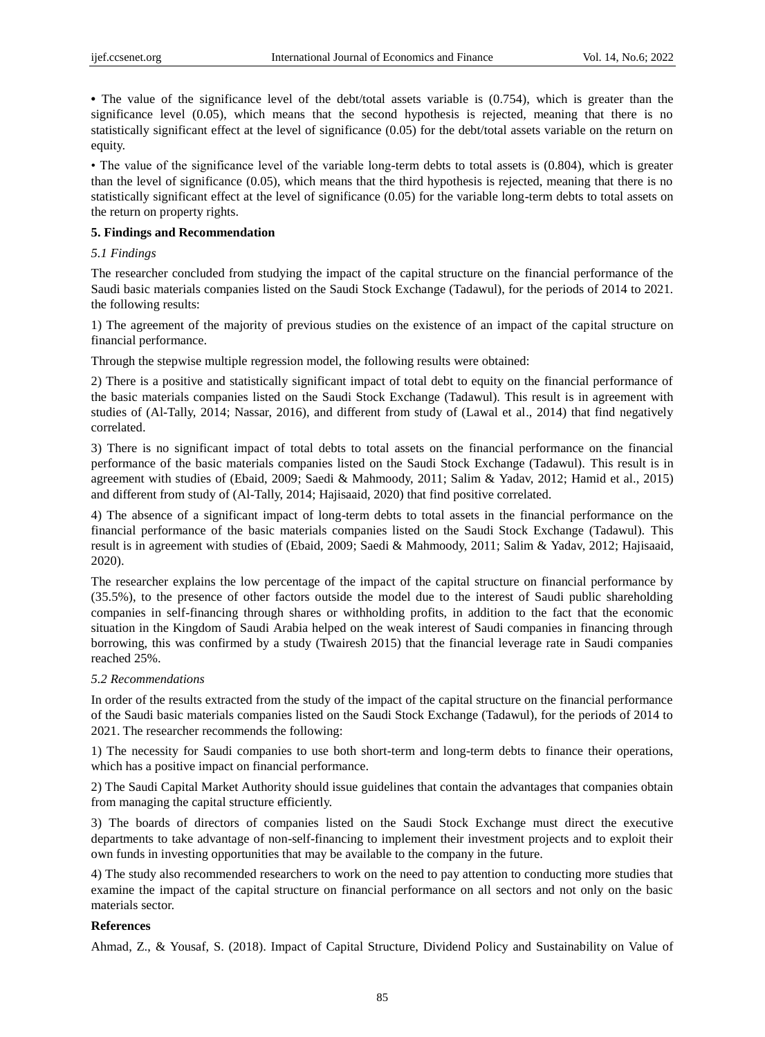• The value of the significance level of the debt/total assets variable is  $(0.754)$ , which is greater than the significance level (0.05), which means that the second hypothesis is rejected, meaning that there is no statistically significant effect at the level of significance (0.05) for the debt/total assets variable on the return on equity.

• The value of the significance level of the variable long-term debts to total assets is (0.804), which is greater than the level of significance (0.05), which means that the third hypothesis is rejected, meaning that there is no statistically significant effect at the level of significance (0.05) for the variable long-term debts to total assets on the return on property rights.

# **5. Findings and Recommendation**

#### *5.1 Findings*

The researcher concluded from studying the impact of the capital structure on the financial performance of the Saudi basic materials companies listed on the Saudi Stock Exchange (Tadawul), for the periods of 2014 to 2021. the following results:

1) The agreement of the majority of previous studies on the existence of an impact of the capital structure on financial performance.

Through the stepwise multiple regression model, the following results were obtained:

2) There is a positive and statistically significant impact of total debt to equity on the financial performance of the basic materials companies listed on the Saudi Stock Exchange (Tadawul). This result is in agreement with studies of (Al-Tally, 2014; Nassar, 2016), and different from study of (Lawal et al., 2014) that find negatively correlated.

3) There is no significant impact of total debts to total assets on the financial performance on the financial performance of the basic materials companies listed on the Saudi Stock Exchange (Tadawul). This result is in agreement with studies of (Ebaid, 2009; Saedi & Mahmoody, 2011; Salim & Yadav, 2012; Hamid et al., 2015) and different from study of (Al-Tally, 2014; Hajisaaid, 2020) that find positive correlated.

4) The absence of a significant impact of long-term debts to total assets in the financial performance on the financial performance of the basic materials companies listed on the Saudi Stock Exchange (Tadawul). This result is in agreement with studies of (Ebaid, 2009; Saedi & Mahmoody, 2011; Salim & Yadav, 2012; Hajisaaid, 2020).

The researcher explains the low percentage of the impact of the capital structure on financial performance by (35.5%), to the presence of other factors outside the model due to the interest of Saudi public shareholding companies in self-financing through shares or withholding profits, in addition to the fact that the economic situation in the Kingdom of Saudi Arabia helped on the weak interest of Saudi companies in financing through borrowing, this was confirmed by a study (Twairesh 2015) that the financial leverage rate in Saudi companies reached 25%.

# *5.2 Recommendations*

In order of the results extracted from the study of the impact of the capital structure on the financial performance of the Saudi basic materials companies listed on the Saudi Stock Exchange (Tadawul), for the periods of 2014 to 2021. The researcher recommends the following:

1) The necessity for Saudi companies to use both short-term and long-term debts to finance their operations, which has a positive impact on financial performance.

2) The Saudi Capital Market Authority should issue guidelines that contain the advantages that companies obtain from managing the capital structure efficiently.

3) The boards of directors of companies listed on the Saudi Stock Exchange must direct the executive departments to take advantage of non-self-financing to implement their investment projects and to exploit their own funds in investing opportunities that may be available to the company in the future.

4) The study also recommended researchers to work on the need to pay attention to conducting more studies that examine the impact of the capital structure on financial performance on all sectors and not only on the basic materials sector.

# **References**

Ahmad, Z., & Yousaf, S. (2018). Impact of Capital Structure, Dividend Policy and Sustainability on Value of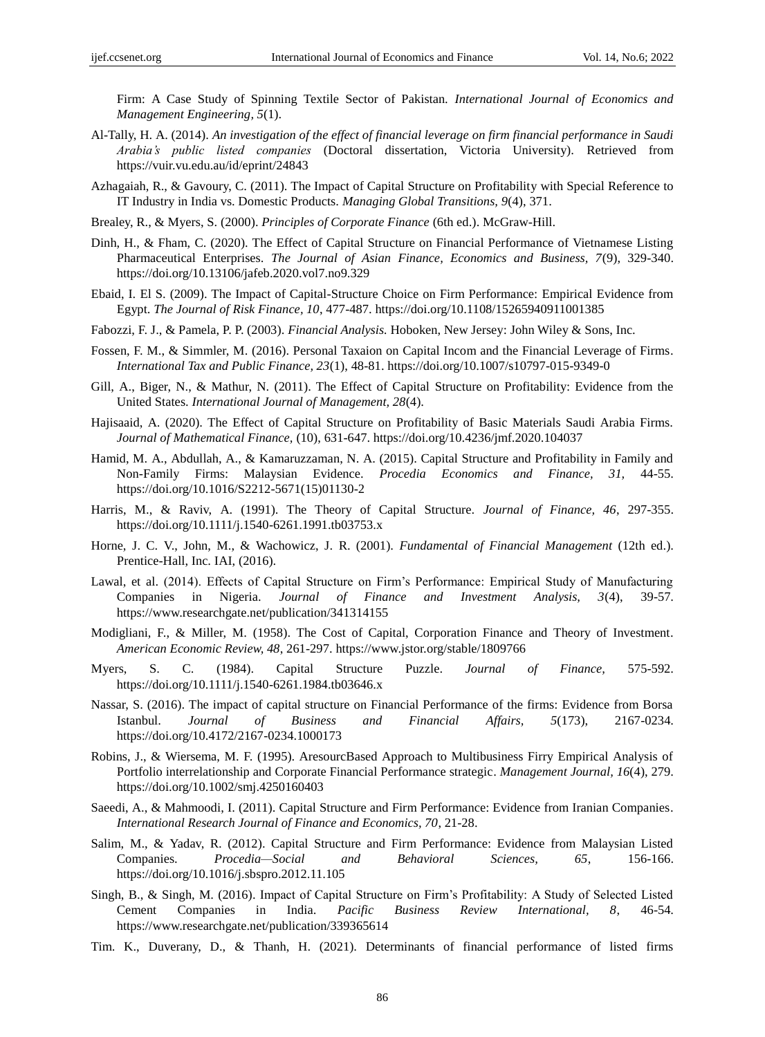Firm: A Case Study of Spinning Textile Sector of Pakistan. *International Journal of Economics and Management Engineering, 5*(1).

- Al-Tally, H. A. (2014). *An investigation of the effect of financial leverage on firm financial performance in Saudi Arabia's public listed companies* (Doctoral dissertation, Victoria University). Retrieved from https://vuir.vu.edu.au/id/eprint/24843
- Azhagaiah, R., & Gavoury, C. (2011). The Impact of Capital Structure on Profitability with Special Reference to IT Industry in India vs. Domestic Products. *Managing Global Transitions, 9*(4), 371.
- Brealey, R., & Myers, S. (2000). *Principles of Corporate Finance* (6th ed.). McGraw-Hill.
- Dinh, H., & Fham, C. (2020). The Effect of Capital Structure on Financial Performance of Vietnamese Listing Pharmaceutical Enterprises. *The Journal of Asian Finance, Economics and Business, 7*(9), 329-340. https://doi.org/10.13106/jafeb.2020.vol7.no9.329
- Ebaid, I. El S. (2009). The Impact of Capital-Structure Choice on Firm Performance: Empirical Evidence from Egypt. *The Journal of Risk Finance, 10*, 477-487. https://doi.org/10.1108/15265940911001385
- Fabozzi, F. J., & Pamela, P. P. (2003). *Financial Analysis.* Hoboken, New Jersey: John Wiley & Sons, Inc.
- Fossen, F. M., & Simmler, M. (2016). Personal Taxaion on Capital Incom and the Financial Leverage of Firms. *International Tax and Public Finance, 23*(1), 48-81. https://doi.org/10.1007/s10797-015-9349-0
- Gill, A., Biger, N., & Mathur, N. (2011). The Effect of Capital Structure on Profitability: Evidence from the United States. *International Journal of Management, 28*(4).
- Hajisaaid, A. (2020). The Effect of Capital Structure on Profitability of Basic Materials Saudi Arabia Firms. *Journal of Mathematical Finance,* (10), 631-647. https://doi.org/10.4236/jmf.2020.104037
- Hamid, M. A., Abdullah, A., & Kamaruzzaman, N. A. (2015). Capital Structure and Profitability in Family and Non-Family Firms: Malaysian Evidence. *Procedia Economics and Finance, 31,* 44-55. https://doi.org/10.1016/S2212-5671(15)01130-2
- Harris, M., & Raviv, A. (1991). The Theory of Capital Structure. *Journal of Finance, 46*, 297-355. https://doi.org/10.1111/j.1540-6261.1991.tb03753.x
- Horne, J. C. V., John, M., & Wachowicz, J. R. (2001). *Fundamental of Financial Management* (12th ed.). Prentice-Hall, Inc. IAI, (2016).
- Lawal, et al. (2014). Effects of Capital Structure on Firm's Performance: Empirical Study of Manufacturing Companies in Nigeria. *Journal of Finance and Investment Analysis, 3*(4), 39-57. https://www.researchgate.net/publication/341314155
- Modigliani, F., & Miller, M. (1958). The Cost of Capital, Corporation Finance and Theory of Investment. *American Economic Review, 48*, 261-297. https://www.jstor.org/stable/1809766
- Myers, S. C. (1984). Capital Structure Puzzle. *Journal of Finance,* 575-592. https://doi.org/10.1111/j.1540-6261.1984.tb03646.x
- Nassar, S. (2016). The impact of capital structure on Financial Performance of the firms: Evidence from Borsa Istanbul. *Journal of Business and Financial Affairs, 5*(173), 2167-0234. https://doi.org/10.4172/2167-0234.1000173
- Robins, J., & Wiersema, M. F. (1995). AresourcBased Approach to Multibusiness Firry Empirical Analysis of Portfolio interrelationship and Corporate Financial Performance strategic. *Management Journal, 16*(4), 279. https://doi.org/10.1002/smj.4250160403
- Saeedi, A., & Mahmoodi, I. (2011). Capital Structure and Firm Performance: Evidence from Iranian Companies. *International Research Journal of Finance and Economics, 70*, 21-28.
- Salim, M., & Yadav, R. (2012). Capital Structure and Firm Performance: Evidence from Malaysian Listed Companies. *Procedia—Social and Behavioral Sciences, 65*, 156-166. https://doi.org/10.1016/j.sbspro.2012.11.105
- Singh, B., & Singh, M. (2016). Impact of Capital Structure on Firm's Profitability: A Study of Selected Listed Cement Companies in India. *Pacific Business Review International, 8*, 46-54. https://www.researchgate.net/publication/339365614
- Tim. K., Duverany, D., & Thanh, H. (2021). Determinants of financial performance of listed firms